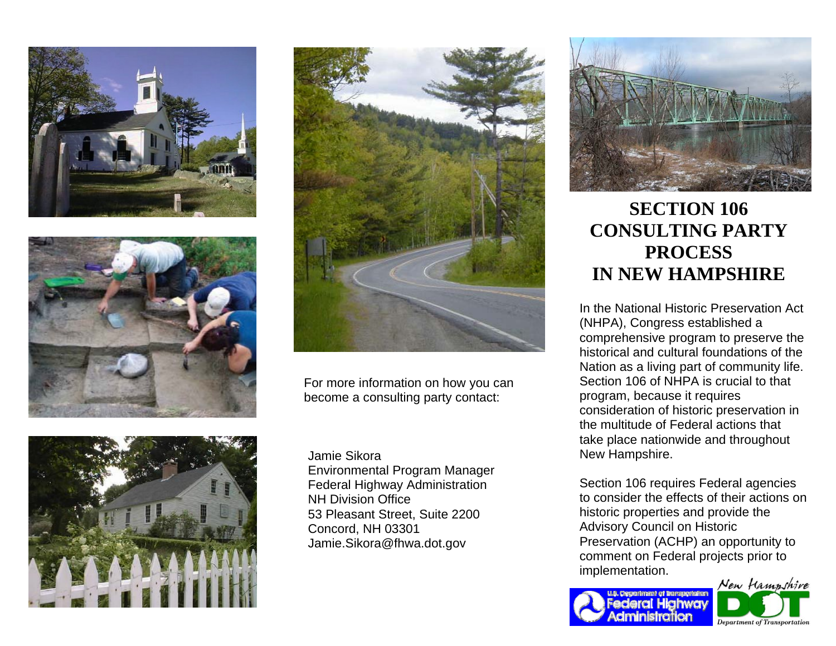







For more information on how you can become a consulting party contact:

Jamie Sikora Environmental Program Manager Federal Highway Administration NH Division Office 53 Pleasant Street, Suite 2200 Concord, NH 03301 Jamie.Sikora@fhwa.dot.gov



## **SECTION 106 CONSULTING PARTY PROCESS IN NEW HAMPSHIRE**

In the National Historic Preservation Act (NHPA), Congress established a comprehensive program to preserve the historical and cultural foundations of the Nation as a living part of community life. Section 106 of NHPA is crucial to that program, because it requires consideration of historic preservation in the multitude of Federal actions that take place nationwide and throughout New Hampshire.

Section 106 requires Federal agencies to consider the effects of their actions on historic properties and provide the Advisory Council on Historic Preservation (ACHP) an opportunity to comment on Federal projects prior to implementation.